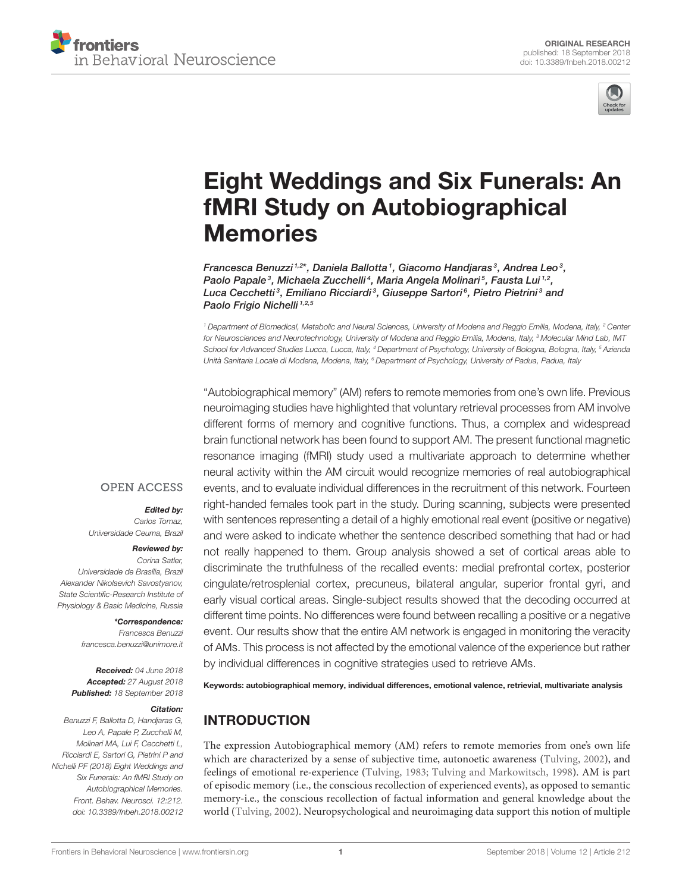



# [Eight Weddings and Six Funerals: An](https://www.frontiersin.org/articles/10.3389/fnbeh.2018.00212/full) fMRI Study on Autobiographical **Memories**

[Francesca Benuzzi](http://loop.frontiersin.org/people/121275/overview) 1,2\*, [Daniela Ballotta](http://loop.frontiersin.org/people/551490/overview) 1, [Giacomo Handjaras](http://loop.frontiersin.org/people/569955/overview) 3, [Andrea Leo](http://loop.frontiersin.org/people/465876/overview) 3, [Paolo Papale](http://loop.frontiersin.org/people/218787/overview)<sup>3</sup>, [Michaela Zucchelli](http://loop.frontiersin.org/people/570242/overview)<sup>4</sup>, [Maria Angela Molinari](http://loop.frontiersin.org/people/571277/overview)<sup>5</sup>, [Fausta Lui](http://loop.frontiersin.org/people/164436/overview)<sup>1,2</sup>, [Luca Cecchetti](http://loop.frontiersin.org/people/46962/overview)<sup>3</sup>, [Emiliano Ricciardi](http://loop.frontiersin.org/people/18377/overview)<sup>3</sup>, [Giuseppe Sartori](http://loop.frontiersin.org/people/5111/overview)<sup>6</sup>, [Pietro Pietrini](http://loop.frontiersin.org/people/11007/overview)<sup>3</sup> and [Paolo Frigio Nichelli](http://loop.frontiersin.org/people/10998/overview)<sup>1,2,5</sup>

<sup>1</sup> Department of Biomedical, Metabolic and Neural Sciences, University of Modena and Reggio Emilia, Modena, Italy, <sup>2</sup> Center for Neurosciences and Neurotechnology, University of Modena and Reggio Emilia, Modena, Italy, <sup>3</sup> Molecular Mind Lab, IMT School for Advanced Studies Lucca, Lucca, Italy, <sup>4</sup> Department of Psychology, University of Bologna, Bologna, Italy, <sup>5</sup> Azienda Unità Sanitaria Locale di Modena, Modena, Italy, <sup>6</sup> Department of Psychology, University of Padua, Padua, Italy

"Autobiographical memory" (AM) refers to remote memories from one's own life. Previous neuroimaging studies have highlighted that voluntary retrieval processes from AM involve different forms of memory and cognitive functions. Thus, a complex and widespread brain functional network has been found to support AM. The present functional magnetic resonance imaging (fMRI) study used a multivariate approach to determine whether neural activity within the AM circuit would recognize memories of real autobiographical events, and to evaluate individual differences in the recruitment of this network. Fourteen right-handed females took part in the study. During scanning, subjects were presented with sentences representing a detail of a highly emotional real event (positive or negative) and were asked to indicate whether the sentence described something that had or had not really happened to them. Group analysis showed a set of cortical areas able to discriminate the truthfulness of the recalled events: medial prefrontal cortex, posterior cingulate/retrosplenial cortex, precuneus, bilateral angular, superior frontal gyri, and early visual cortical areas. Single-subject results showed that the decoding occurred at different time points. No differences were found between recalling a positive or a negative event. Our results show that the entire AM network is engaged in monitoring the veracity of AMs. This process is not affected by the emotional valence of the experience but rather by individual differences in cognitive strategies used to retrieve AMs.

Keywords: autobiographical memory, individual differences, emotional valence, retrievial, multivariate analysis

# INTRODUCTION

The expression Autobiographical memory (AM) refers to remote memories from one's own life which are characterized by a sense of subjective time, autonoetic awareness [\(Tulving, 2002\)](#page-10-0), and feelings of emotional re-experience [\(Tulving, 1983;](#page-10-1) [Tulving and Markowitsch, 1998\)](#page-10-2). AM is part of episodic memory (i.e., the conscious recollection of experienced events), as opposed to semantic memory-i.e., the conscious recollection of factual information and general knowledge about the world [\(Tulving, 2002\)](#page-10-0). Neuropsychological and neuroimaging data support this notion of multiple

# **OPEN ACCESS**

#### Edited by:

Carlos Tomaz, Universidade Ceuma, Brazil

#### Reviewed by:

Corina Satler, Universidade de Brasília, Brazil Alexander Nikolaevich Savostyanov, State Scientific-Research Institute of Physiology & Basic Medicine, Russia

#### \*Correspondence:

Francesca Benuzzi [francesca.benuzzi@unimore.it](mailto:francesca.benuzzi@unimore.it)

Received: 04 June 2018 Accepted: 27 August 2018 Published: 18 September 2018

#### Citation:

Benuzzi F, Ballotta D, Handjaras G, Leo A, Papale P, Zucchelli M, Molinari MA, Lui F, Cecchetti L, Ricciardi E, Sartori G, Pietrini P and Nichelli PF (2018) Eight Weddings and Six Funerals: An fMRI Study on Autobiographical Memories. Front. Behav. Neurosci. 12:212. doi: [10.3389/fnbeh.2018.00212](https://doi.org/10.3389/fnbeh.2018.00212)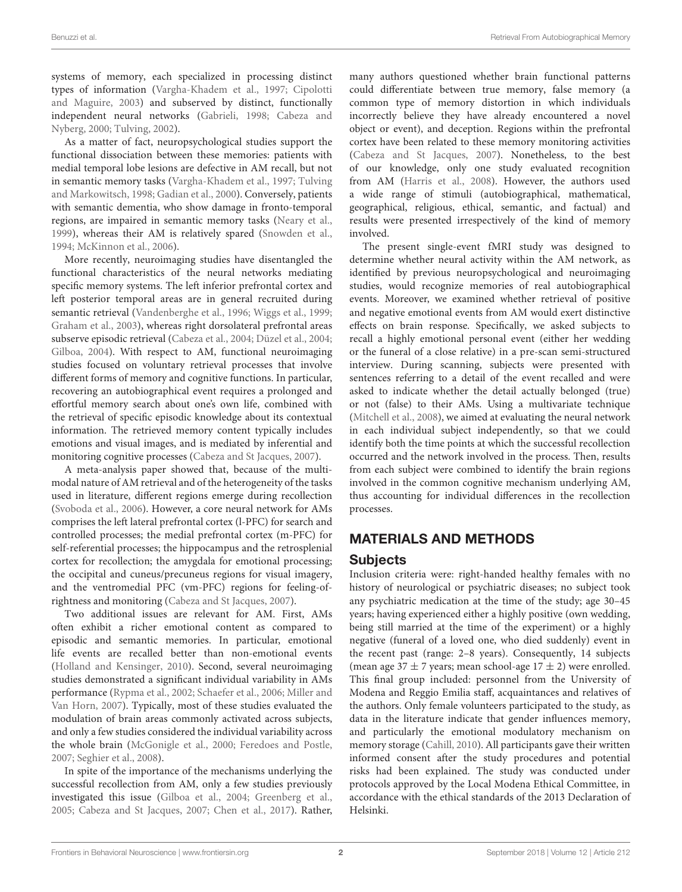systems of memory, each specialized in processing distinct types of information [\(Vargha-Khadem et al., 1997;](#page-10-3) Cipolotti and Maguire, [2003\)](#page-8-0) and subserved by distinct, functionally independent neural networks [\(Gabrieli, 1998;](#page-9-0) Cabeza and Nyberg, [2000;](#page-8-1) [Tulving, 2002\)](#page-10-0).

As a matter of fact, neuropsychological studies support the functional dissociation between these memories: patients with medial temporal lobe lesions are defective in AM recall, but not in semantic memory tasks [\(Vargha-Khadem et al., 1997;](#page-10-3) Tulving and Markowitsch, [1998;](#page-10-2) [Gadian et al., 2000\)](#page-9-1). Conversely, patients with semantic dementia, who show damage in fronto-temporal regions, are impaired in semantic memory tasks [\(Neary et al.,](#page-9-2) [1999\)](#page-9-2), whereas their AM is relatively spared [\(Snowden et al.,](#page-10-4) [1994;](#page-10-4) [McKinnon et al., 2006\)](#page-9-3).

More recently, neuroimaging studies have disentangled the functional characteristics of the neural networks mediating specific memory systems. The left inferior prefrontal cortex and left posterior temporal areas are in general recruited during semantic retrieval [\(Vandenberghe et al., 1996;](#page-10-5) [Wiggs et al., 1999;](#page-10-6) [Graham et al., 2003\)](#page-9-4), whereas right dorsolateral prefrontal areas subserve episodic retrieval [\(Cabeza et al., 2004;](#page-8-2) [Düzel et al., 2004;](#page-9-5) [Gilboa, 2004\)](#page-9-6). With respect to AM, functional neuroimaging studies focused on voluntary retrieval processes that involve different forms of memory and cognitive functions. In particular, recovering an autobiographical event requires a prolonged and effortful memory search about one's own life, combined with the retrieval of specific episodic knowledge about its contextual information. The retrieved memory content typically includes emotions and visual images, and is mediated by inferential and monitoring cognitive processes [\(Cabeza and St Jacques, 2007\)](#page-8-3).

A meta-analysis paper showed that, because of the multimodal nature of AM retrieval and of the heterogeneity of the tasks used in literature, different regions emerge during recollection [\(Svoboda et al., 2006\)](#page-10-7). However, a core neural network for AMs comprises the left lateral prefrontal cortex (l-PFC) for search and controlled processes; the medial prefrontal cortex (m-PFC) for self-referential processes; the hippocampus and the retrosplenial cortex for recollection; the amygdala for emotional processing; the occipital and cuneus/precuneus regions for visual imagery, and the ventromedial PFC (vm-PFC) regions for feeling-ofrightness and monitoring [\(Cabeza and St Jacques, 2007\)](#page-8-3).

Two additional issues are relevant for AM. First, AMs often exhibit a richer emotional content as compared to episodic and semantic memories. In particular, emotional life events are recalled better than non-emotional events [\(Holland and Kensinger, 2010\)](#page-9-7). Second, several neuroimaging studies demonstrated a significant individual variability in AMs performance [\(Rypma et al., 2002;](#page-10-8) [Schaefer et al., 2006;](#page-10-9) Miller and Van Horn, [2007\)](#page-9-8). Typically, most of these studies evaluated the modulation of brain areas commonly activated across subjects, and only a few studies considered the individual variability across the whole brain [\(McGonigle et al., 2000;](#page-9-9) [Feredoes and Postle,](#page-9-10) [2007;](#page-9-10) [Seghier et al., 2008\)](#page-10-10).

In spite of the importance of the mechanisms underlying the successful recollection from AM, only a few studies previously investigated this issue [\(Gilboa et al., 2004;](#page-9-11) [Greenberg et al.,](#page-9-12) [2005;](#page-9-12) [Cabeza and St Jacques, 2007;](#page-8-3) [Chen et al., 2017\)](#page-8-4). Rather, many authors questioned whether brain functional patterns could differentiate between true memory, false memory (a common type of memory distortion in which individuals incorrectly believe they have already encountered a novel object or event), and deception. Regions within the prefrontal cortex have been related to these memory monitoring activities [\(Cabeza and St Jacques, 2007\)](#page-8-3). Nonetheless, to the best of our knowledge, only one study evaluated recognition from AM [\(Harris et al., 2008\)](#page-9-13). However, the authors used a wide range of stimuli (autobiographical, mathematical, geographical, religious, ethical, semantic, and factual) and results were presented irrespectively of the kind of memory involved.

The present single-event fMRI study was designed to determine whether neural activity within the AM network, as identified by previous neuropsychological and neuroimaging studies, would recognize memories of real autobiographical events. Moreover, we examined whether retrieval of positive and negative emotional events from AM would exert distinctive effects on brain response. Specifically, we asked subjects to recall a highly emotional personal event (either her wedding or the funeral of a close relative) in a pre-scan semi-structured interview. During scanning, subjects were presented with sentences referring to a detail of the event recalled and were asked to indicate whether the detail actually belonged (true) or not (false) to their AMs. Using a multivariate technique [\(Mitchell et al., 2008\)](#page-9-14), we aimed at evaluating the neural network in each individual subject independently, so that we could identify both the time points at which the successful recollection occurred and the network involved in the process. Then, results from each subject were combined to identify the brain regions involved in the common cognitive mechanism underlying AM, thus accounting for individual differences in the recollection processes.

# MATERIALS AND METHODS

## **Subjects**

Inclusion criteria were: right-handed healthy females with no history of neurological or psychiatric diseases; no subject took any psychiatric medication at the time of the study; age 30–45 years; having experienced either a highly positive (own wedding, being still married at the time of the experiment) or a highly negative (funeral of a loved one, who died suddenly) event in the recent past (range: 2–8 years). Consequently, 14 subjects (mean age  $37 \pm 7$  years; mean school-age  $17 \pm 2$ ) were enrolled. This final group included: personnel from the University of Modena and Reggio Emilia staff, acquaintances and relatives of the authors. Only female volunteers participated to the study, as data in the literature indicate that gender influences memory, and particularly the emotional modulatory mechanism on memory storage [\(Cahill, 2010\)](#page-8-5). All participants gave their written informed consent after the study procedures and potential risks had been explained. The study was conducted under protocols approved by the Local Modena Ethical Committee, in accordance with the ethical standards of the 2013 Declaration of Helsinki.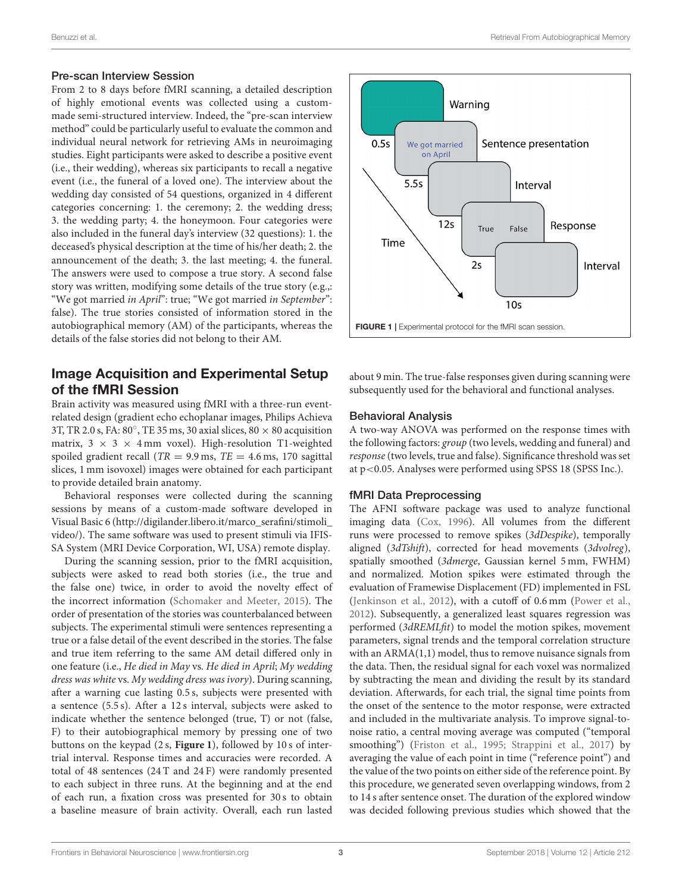#### Pre-scan Interview Session

From 2 to 8 days before fMRI scanning, a detailed description of highly emotional events was collected using a custommade semi-structured interview. Indeed, the "pre-scan interview method" could be particularly useful to evaluate the common and individual neural network for retrieving AMs in neuroimaging studies. Eight participants were asked to describe a positive event (i.e., their wedding), whereas six participants to recall a negative event (i.e., the funeral of a loved one). The interview about the wedding day consisted of 54 questions, organized in 4 different categories concerning: 1. the ceremony; 2. the wedding dress; 3. the wedding party; 4. the honeymoon. Four categories were also included in the funeral day's interview (32 questions): 1. the deceased's physical description at the time of his/her death; 2. the announcement of the death; 3. the last meeting; 4. the funeral. The answers were used to compose a true story. A second false story was written, modifying some details of the true story (e.g.,: "We got married in April": true; "We got married in September": false). The true stories consisted of information stored in the autobiographical memory (AM) of the participants, whereas the details of the false stories did not belong to their AM.

## Image Acquisition and Experimental Setup of the fMRI Session

Brain activity was measured using fMRI with a three-run eventrelated design (gradient echo echoplanar images, Philips Achieva 3T, TR 2.0 s, FA: 80 $^{\circ}$ , TE 35 ms, 30 axial slices, 80  $\times$  80 acquisition matrix,  $3 \times 3 \times 4$  mm voxel). High-resolution T1-weighted spoiled gradient recall ( $TR = 9.9$  ms,  $TE = 4.6$  ms, 170 sagittal slices, 1 mm isovoxel) images were obtained for each participant to provide detailed brain anatomy.

Behavioral responses were collected during the scanning sessions by means of a custom-made software developed in Visual Basic 6 [\(http://digilander.libero.it/marco\\_serafini/stimoli\\_](http://digilander.libero.it/marco_serafini/stimoli_video/) [video/\)](http://digilander.libero.it/marco_serafini/stimoli_video/). The same software was used to present stimuli via IFIS-SA System (MRI Device Corporation, WI, USA) remote display.

During the scanning session, prior to the fMRI acquisition, subjects were asked to read both stories (i.e., the true and the false one) twice, in order to avoid the novelty effect of the incorrect information [\(Schomaker and Meeter, 2015\)](#page-10-11). The order of presentation of the stories was counterbalanced between subjects. The experimental stimuli were sentences representing a true or a false detail of the event described in the stories. The false and true item referring to the same AM detail differed only in one feature (i.e., He died in May vs. He died in April; My wedding dress was white vs. My wedding dress was ivory). During scanning, after a warning cue lasting 0.5 s, subjects were presented with a sentence (5.5 s). After a 12 s interval, subjects were asked to indicate whether the sentence belonged (true, T) or not (false, F) to their autobiographical memory by pressing one of two buttons on the keypad (2 s, **[Figure 1](#page-2-0)**), followed by 10 s of intertrial interval. Response times and accuracies were recorded. A total of 48 sentences (24 T and 24 F) were randomly presented to each subject in three runs. At the beginning and at the end of each run, a fixation cross was presented for 30 s to obtain a baseline measure of brain activity. Overall, each run lasted





<span id="page-2-0"></span>about 9 min. The true-false responses given during scanning were subsequently used for the behavioral and functional analyses.

#### Behavioral Analysis

A two-way ANOVA was performed on the response times with the following factors: group (two levels, wedding and funeral) and response (two levels, true and false). Significance threshold was set at p<0.05. Analyses were performed using SPSS 18 (SPSS Inc.).

## fMRI Data Preprocessing

The AFNI software package was used to analyze functional imaging data [\(Cox, 1996\)](#page-9-15). All volumes from the different runs were processed to remove spikes (3dDespike), temporally aligned (3dTshift), corrected for head movements (3dvolreg), spatially smoothed (3dmerge, Gaussian kernel 5 mm, FWHM) and normalized. Motion spikes were estimated through the evaluation of Framewise Displacement (FD) implemented in FSL [\(Jenkinson et al., 2012\)](#page-9-16), with a cutoff of 0.6 mm [\(Power et al.,](#page-10-12) [2012\)](#page-10-12). Subsequently, a generalized least squares regression was performed (3dREMLfit) to model the motion spikes, movement parameters, signal trends and the temporal correlation structure with an ARMA(1,1) model, thus to remove nuisance signals from the data. Then, the residual signal for each voxel was normalized by subtracting the mean and dividing the result by its standard deviation. Afterwards, for each trial, the signal time points from the onset of the sentence to the motor response, were extracted and included in the multivariate analysis. To improve signal-tonoise ratio, a central moving average was computed ("temporal smoothing") [\(Friston et al., 1995;](#page-9-17) [Strappini et al., 2017\)](#page-10-13) by averaging the value of each point in time ("reference point") and the value of the two points on either side of the reference point. By this procedure, we generated seven overlapping windows, from 2 to 14 s after sentence onset. The duration of the explored window was decided following previous studies which showed that the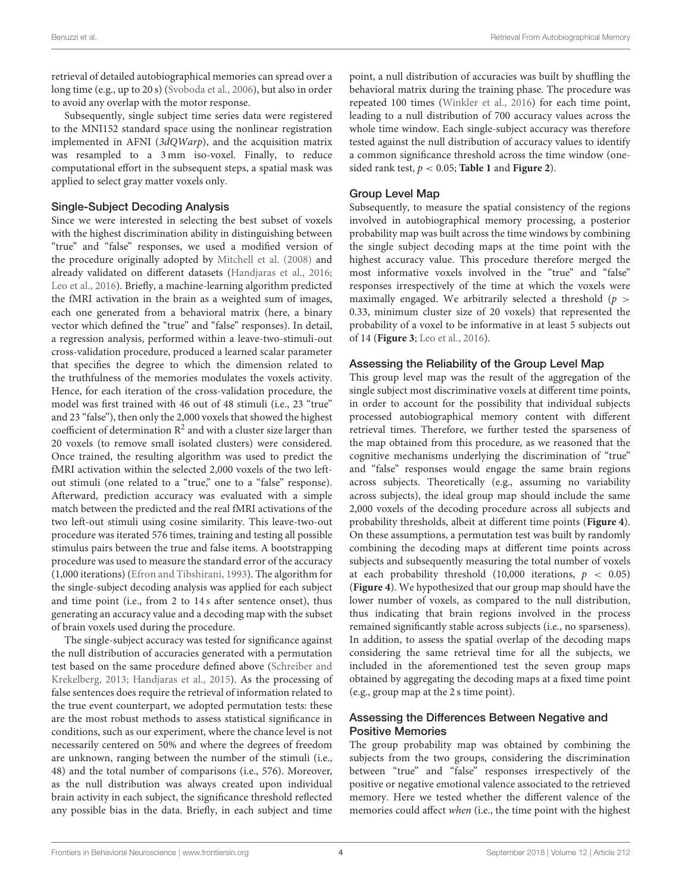retrieval of detailed autobiographical memories can spread over a long time (e.g., up to 20 s) [\(Svoboda et al., 2006\)](#page-10-7), but also in order to avoid any overlap with the motor response.

Subsequently, single subject time series data were registered to the MNI152 standard space using the nonlinear registration implemented in AFNI (3dQWarp), and the acquisition matrix was resampled to a 3 mm iso-voxel. Finally, to reduce computational effort in the subsequent steps, a spatial mask was applied to select gray matter voxels only.

#### Single-Subject Decoding Analysis

Since we were interested in selecting the best subset of voxels with the highest discrimination ability in distinguishing between "true" and "false" responses, we used a modified version of the procedure originally adopted by [Mitchell et al. \(2008\)](#page-9-14) and already validated on different datasets [\(Handjaras et al., 2016;](#page-9-18) [Leo et al., 2016\)](#page-9-19). Briefly, a machine-learning algorithm predicted the fMRI activation in the brain as a weighted sum of images, each one generated from a behavioral matrix (here, a binary vector which defined the "true" and "false" responses). In detail, a regression analysis, performed within a leave-two-stimuli-out cross-validation procedure, produced a learned scalar parameter that specifies the degree to which the dimension related to the truthfulness of the memories modulates the voxels activity. Hence, for each iteration of the cross-validation procedure, the model was first trained with 46 out of 48 stimuli (i.e., 23 "true" and 23 "false"), then only the 2,000 voxels that showed the highest coefficient of determination  $\mathbb{R}^2$  and with a cluster size larger than 20 voxels (to remove small isolated clusters) were considered. Once trained, the resulting algorithm was used to predict the fMRI activation within the selected 2,000 voxels of the two leftout stimuli (one related to a "true," one to a "false" response). Afterward, prediction accuracy was evaluated with a simple match between the predicted and the real fMRI activations of the two left-out stimuli using cosine similarity. This leave-two-out procedure was iterated 576 times, training and testing all possible stimulus pairs between the true and false items. A bootstrapping procedure was used to measure the standard error of the accuracy (1,000 iterations) [\(Efron and Tibshirani, 1993\)](#page-9-20). The algorithm for the single-subject decoding analysis was applied for each subject and time point (i.e., from 2 to 14 s after sentence onset), thus generating an accuracy value and a decoding map with the subset of brain voxels used during the procedure.

The single-subject accuracy was tested for significance against the null distribution of accuracies generated with a permutation test based on the same procedure defined above (Schreiber and Krekelberg, [2013;](#page-10-14) [Handjaras et al., 2015\)](#page-9-21). As the processing of false sentences does require the retrieval of information related to the true event counterpart, we adopted permutation tests: these are the most robust methods to assess statistical significance in conditions, such as our experiment, where the chance level is not necessarily centered on 50% and where the degrees of freedom are unknown, ranging between the number of the stimuli (i.e., 48) and the total number of comparisons (i.e., 576). Moreover, as the null distribution was always created upon individual brain activity in each subject, the significance threshold reflected any possible bias in the data. Briefly, in each subject and time point, a null distribution of accuracies was built by shuffling the behavioral matrix during the training phase. The procedure was repeated 100 times [\(Winkler et al., 2016\)](#page-10-15) for each time point, leading to a null distribution of 700 accuracy values across the whole time window. Each single-subject accuracy was therefore tested against the null distribution of accuracy values to identify a common significance threshold across the time window (onesided rank test,  $p < 0.05$ ; **[Table 1](#page-4-0)** and **[Figure 2](#page-5-0)**).

## Group Level Map

Subsequently, to measure the spatial consistency of the regions involved in autobiographical memory processing, a posterior probability map was built across the time windows by combining the single subject decoding maps at the time point with the highest accuracy value. This procedure therefore merged the most informative voxels involved in the "true" and "false" responses irrespectively of the time at which the voxels were maximally engaged. We arbitrarily selected a threshold  $(p >$ 0.33, minimum cluster size of 20 voxels) that represented the probability of a voxel to be informative in at least 5 subjects out of 14 (**[Figure 3](#page-5-1)**; [Leo et al., 2016\)](#page-9-19).

#### Assessing the Reliability of the Group Level Map

This group level map was the result of the aggregation of the single subject most discriminative voxels at different time points, in order to account for the possibility that individual subjects processed autobiographical memory content with different retrieval times. Therefore, we further tested the sparseness of the map obtained from this procedure, as we reasoned that the cognitive mechanisms underlying the discrimination of "true" and "false" responses would engage the same brain regions across subjects. Theoretically (e.g., assuming no variability across subjects), the ideal group map should include the same 2,000 voxels of the decoding procedure across all subjects and probability thresholds, albeit at different time points (**[Figure 4](#page-6-0)**). On these assumptions, a permutation test was built by randomly combining the decoding maps at different time points across subjects and subsequently measuring the total number of voxels at each probability threshold (10,000 iterations,  $p < 0.05$ ) (**[Figure 4](#page-6-0)**). We hypothesized that our group map should have the lower number of voxels, as compared to the null distribution, thus indicating that brain regions involved in the process remained significantly stable across subjects (i.e., no sparseness). In addition, to assess the spatial overlap of the decoding maps considering the same retrieval time for all the subjects, we included in the aforementioned test the seven group maps obtained by aggregating the decoding maps at a fixed time point (e.g., group map at the 2 s time point).

## Assessing the Differences Between Negative and Positive Memories

The group probability map was obtained by combining the subjects from the two groups, considering the discrimination between "true" and "false" responses irrespectively of the positive or negative emotional valence associated to the retrieved memory. Here we tested whether the different valence of the memories could affect when (i.e., the time point with the highest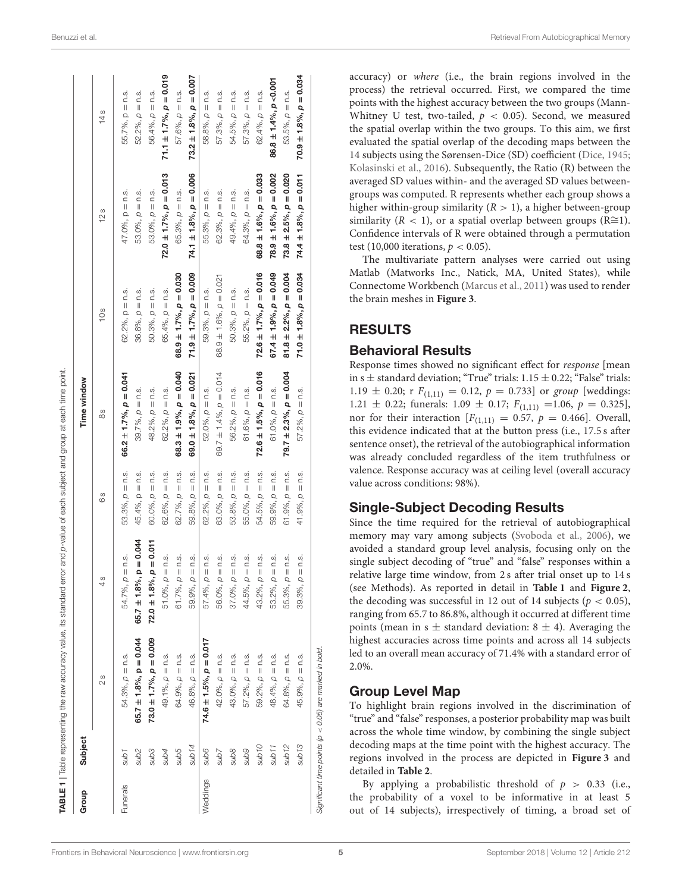|          |                   | TABLE 1   Table representing the raw accuracy value, its standard error and p-value of each subject and group at each time point. |                                |                        |                                |                                   |                                |                                |
|----------|-------------------|-----------------------------------------------------------------------------------------------------------------------------------|--------------------------------|------------------------|--------------------------------|-----------------------------------|--------------------------------|--------------------------------|
| Group    | Subject           |                                                                                                                                   |                                |                        | Time window                    |                                   |                                |                                |
|          |                   | 28                                                                                                                                | 4s                             | S<br>O                 | 88                             | 10s                               | 12s                            | 14s                            |
| Funerals | t qns             | $54.3\%$ , $\rho = n.s$ .                                                                                                         | $54.7\%$ , $p = n.s$ .         | $53.3\%$ , $p = n.s$ . | $66.2 \pm 1.7\%$ , $p = 0.041$ | $62.2\%$ , $p = n.s$ .            | $47.0\%$ , $p = n.s$ .         | $55.7\%$ , $p = n.s$ .         |
|          | sub <sub>2</sub>  | $65.7 \pm 1.8\%$ , p = 0.044                                                                                                      | 65.7 $\pm$ 1.8%, p = 0.044     | 45.4%, $p = n.s$ .     | $39.7\%$ , $p = n.s$ .         | $36.8\%$ , $p = n.s$ .            | $53.0\%$ , $p = n.s$ .         | $52.2\%$ , $\rho = n.s$ .      |
|          | sub <sub>3</sub>  | $73.0 \pm 1.7\%$ , $p = 0.009$                                                                                                    | $72.0 \pm 1.8\%$ , $p = 0.011$ | $60.0\%$ , $p = n$ .s. | $48.2\%$ , $p = n.s$ .         | $50.3\%$ , $p = n.s$ .            | $53.0\%$ , $p = n.s$ .         | $56.4\%$ , $\rho = n.s$ .      |
|          | sub4              | 49.1%, $p = n$ .s.                                                                                                                | $51.0\%$ , $p = n.s$ .         | $62.6\%, p = n.s.$     | 62.2%, $p = n$ .s.             | $65.4\%$ , $p = n.s$ .            | $72.0 \pm 1.7\%$ , $p = 0.013$ | $71.1 \pm 1.7\%$ , $p = 0.019$ |
|          | sub5              | 64.9%, $\rho = n$ .s.                                                                                                             | $61.7\%$ , $p = n.s$ .         | 62.7%, $p = n$ .s.     | $68.3 \pm 1.9\%$ , $p = 0.040$ | $68.9 \pm 1.7\%$ , $p = 0.030$    | 65.3%, $p = n$ .s.             | $57.6\%, p = n.s.$             |
|          | sub14             | 46.8%, $\rho = n$ .s.                                                                                                             | $59.9\%$ , $p = n.s$ .         | $59.8\%, p = n.s.$     | $69.0 \pm 1.8\%$ , $p = 0.021$ | $71.9 \pm 1.7\%$ , $p = 0.009$    | $74.1 \pm 1.8\%$ , $p = 0.006$ | $73.2 \pm 1.8\%$ , $p = 0.007$ |
| Weddings | <b>Sub6</b>       | $74.6 \pm 1.5\%$ , $p = 0.017$                                                                                                    | $57.4\%$ , $p = n.s$ .         | $62.2\%, p = n.s.$     | $52.0\%$ , $p = n.s$ .         | $59.3\%$ , $p = n.s$ .            | $55.3\%$ , $p = n.s$ .         | $58.8\%$ , $\rho = n.s$ .      |
|          | Sub7              | $42.0\%$ , $\rho = n.s.$                                                                                                          | $56.0\%$ , $p = n.s$ .         | $63.0\%$ , $p = n.s$ . | 69.7 $\pm$ 1.4%, $p = 0.014$   | $68.9 \pm 1.6\%$ , $\rho = 0.021$ | $62.3\%$ , $p = n$ .s.         | $57.3\%$ , $\rho = n.s$ .      |
|          | <b>Sub8</b>       | $43.0\%$ , $\rho = n.s$ .                                                                                                         | $37.0\%$ , $\rho = n.s$ .      | $53.8\%$ , $p = n.s$ . | $56.2\%$ , $\rho = n.s$ .      | $50.3\%$ , $\rho = n.s$ .         | 49.4%, $p = n$ .s.             | $54.5\%$ , $p = n.s$ .         |
|          | <b>Gans</b>       | $57.2\%$ , $p = n$ .s.                                                                                                            | $44.5\%$ , $p = n.s$ .         | $55.0\%$ , $p = n.s$ . | $61.6\%$ , $p = n.s$ .         | $55.2\%$ , $p = n.s$ .            | 64.3%, $p = n$ .s.             | $57.3\%$ , $p = n$ .s.         |
|          | Ot qns            | 59.2%, $\rho = n$ .s.                                                                                                             | $43.2\%$ , $p = n.s$ .         | $54.5\%$ , $p = n.s$ . | $72.6 \pm 1.5\%$ , $p = 0.016$ | $72.6 \pm 1.7\%$ , $p = 0.016$    | $68.8 \pm 1.6\%$ , $p = 0.033$ | 62.4%, $p = n$ .s.             |
|          | sub <sub>11</sub> | 48.4%, $p = n$ .s.                                                                                                                | $53.2\%$ , $p = n.s$ .         | $59.9\%$ , $p = n.s$ . | 61.0%, $\rho = n$ .s.          | $67.4 \pm 1.9\%$ , $p = 0.049$    | $78.9 \pm 1.6\%$ , $p = 0.002$ | $86.8 \pm 1.4\%$ , $p < 0.001$ |
|          | sub <sub>12</sub> | 64.8%, $p = n$ .s.                                                                                                                | $55.3\%$ , $p = n.s$ .         | $61.9\%, p = n.s.$     | $79.7 \pm 2.3\%$ , $p = 0.004$ | $81.8 \pm 2.2\%$ , $p = 0.004$    | $73.8 \pm 2.5\%$ , $p = 0.020$ | $53.5\%$ , $\rho = n.s$ .      |
|          | sub <sub>13</sub> | $45.9\%$ , $\rho = n.s.$                                                                                                          | $39.3\%$ , $\rho = n.s$ .      | $41.9\%$ , $p = n.s$ . | $57.2\%$ , $\rho = n.s$ .      | $71.0 \pm 1.8\%$ , $p = 0.034$    | $74.4 \pm 1.8\%$ , $p = 0.011$ | $70.9 \pm 1.8\%$ , $p = 0.034$ |
|          |                   |                                                                                                                                   |                                |                        |                                |                                   |                                |                                |

**TABLE 1** | Table representing the raw accuracy value, its standard error and p-value of each subject and group at each time point

accuracy) or where (i.e., the brain regions involved in the process) the retrieval occurred. First, we compared the time points with the highest accuracy between the two groups (Mann-Whitney U test, two-tailed,  $p < 0.05$ ). Second, we measured the spatial overlap within the two groups. To this aim, we first evaluated the spatial overlap of the decoding maps between the 14 subjects using the Sørensen-Dice (SD) coefficient [\(Dice, 1945;](#page-9-22) [Kolasinski et al., 2016\)](#page-9-23). Subsequently, the Ratio (R) between the averaged SD values within- and the averaged SD values betweengroups was computed. R represents whether each group shows a higher within-group similarity  $(R > 1)$ , a higher between-group similarity ( $R < 1$ ), or a spatial overlap between groups ( $R \cong 1$ ). Confidence intervals of R were obtained through a permutation test (10,000 iterations,  $p < 0.05$ ).

The multivariate pattern analyses were carried out using Matlab (Matworks Inc., Natick, MA, United States), while Connectome Workbench [\(Marcus et al., 2011\)](#page-9-24) was used to render the brain meshes in **[Figure 3](#page-5-1)**.

## RESULTS

## Behavioral Results

Response times showed no significant effect for response [mean in s  $\pm$  standard deviation; "True" trials: 1.15  $\pm$  0.22; "False" trials: 1.19  $\pm$  0.20; r  $F_{(1,11)} = 0.12$ ,  $p = 0.733$ ] or group [weddings: 1.21  $\pm$  0.22; funerals: 1.09  $\pm$  0.17;  $F_{(1,11)} = 1.06$ ,  $p = 0.325$ ], nor for their interaction  $[F_{(1,11)} = 0.57, p = 0.466]$ . Overall, this evidence indicated that at the button press (i.e., 17.5 s after sentence onset), the retrieval of the autobiographical information was already concluded regardless of the item truthfulness or valence. Response accuracy was at ceiling level (overall accuracy value across conditions: 98%).

## Single-Subject Decoding Results

Since the time required for the retrieval of autobiographical memory may vary among subjects [\(Svoboda et al., 2006\)](#page-10-7), we avoided a standard group level analysis, focusing only on the single subject decoding of "true" and "false" responses within a relative large time window, from 2 s after trial onset up to 14 s (see Methods). As reported in detail in **[Table 1](#page-4-0)** and **[Figure 2](#page-5-0)**, the decoding was successful in 12 out of 14 subjects ( $p < 0.05$ ), ranging from 65.7 to 86.8%, although it occurred at different time points (mean in s  $\pm$  standard deviation: 8  $\pm$  4). Averaging the highest accuracies across time points and across all 14 subjects led to an overall mean accuracy of 71.4% with a standard error of 2.0%.

## Group Level Map

To highlight brain regions involved in the discrimination of "true" and "false" responses, a posterior probability map was built across the whole time window, by combining the single subject decoding maps at the time point with the highest accuracy. The regions involved in the process are depicted in **[Figure 3](#page-5-1)** and detailed in **[Table 2](#page-7-0)**.

By applying a probabilistic threshold of  $p > 0.33$  (i.e., the probability of a voxel to be informative in at least 5 out of 14 subjects), irrespectively of timing, a broad set of

Significant time points (p < 0.05) are marked in bold.

<span id="page-4-0"></span>Significant time points ( $p < 0.05$ ) are marked in bold.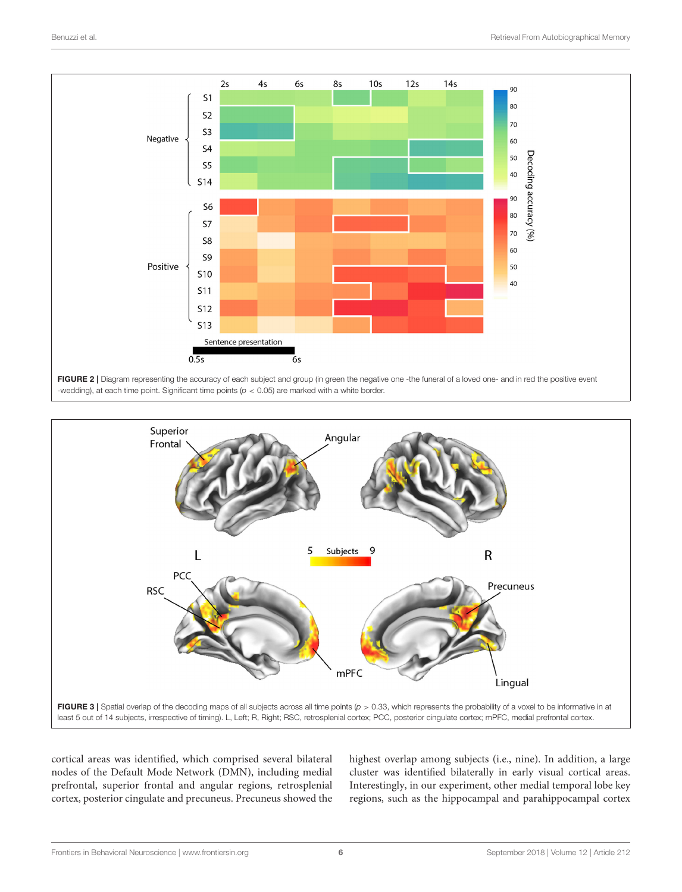

<span id="page-5-0"></span>

<span id="page-5-1"></span>cortical areas was identified, which comprised several bilateral nodes of the Default Mode Network (DMN), including medial prefrontal, superior frontal and angular regions, retrosplenial cortex, posterior cingulate and precuneus. Precuneus showed the highest overlap among subjects (i.e., nine). In addition, a large cluster was identified bilaterally in early visual cortical areas. Interestingly, in our experiment, other medial temporal lobe key regions, such as the hippocampal and parahippocampal cortex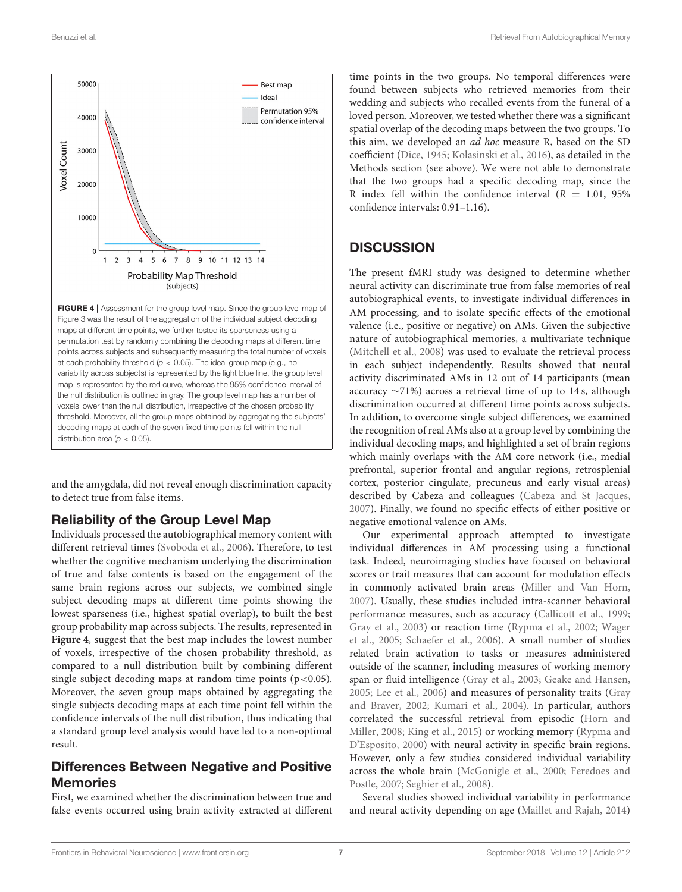

<span id="page-6-0"></span>variability across subjects) is represented by the light blue line, the group level map is represented by the red curve, whereas the 95% confidence interval of the null distribution is outlined in gray. The group level map has a number of voxels lower than the null distribution, irrespective of the chosen probability threshold. Moreover, all the group maps obtained by aggregating the subjects' decoding maps at each of the seven fixed time points fell within the null distribution area ( $p < 0.05$ ).

and the amygdala, did not reveal enough discrimination capacity to detect true from false items.

# Reliability of the Group Level Map

Individuals processed the autobiographical memory content with different retrieval times [\(Svoboda et al., 2006\)](#page-10-7). Therefore, to test whether the cognitive mechanism underlying the discrimination of true and false contents is based on the engagement of the same brain regions across our subjects, we combined single subject decoding maps at different time points showing the lowest sparseness (i.e., highest spatial overlap), to built the best group probability map across subjects. The results, represented in **[Figure 4](#page-6-0)**, suggest that the best map includes the lowest number of voxels, irrespective of the chosen probability threshold, as compared to a null distribution built by combining different single subject decoding maps at random time points  $(p<0.05)$ . Moreover, the seven group maps obtained by aggregating the single subjects decoding maps at each time point fell within the confidence intervals of the null distribution, thus indicating that a standard group level analysis would have led to a non-optimal result.

# Differences Between Negative and Positive Memories

First, we examined whether the discrimination between true and false events occurred using brain activity extracted at different

time points in the two groups. No temporal differences were found between subjects who retrieved memories from their wedding and subjects who recalled events from the funeral of a loved person. Moreover, we tested whether there was a significant spatial overlap of the decoding maps between the two groups. To this aim, we developed an ad hoc measure R, based on the SD coefficient [\(Dice, 1945;](#page-9-22) [Kolasinski et al., 2016\)](#page-9-23), as detailed in the Methods section (see above). We were not able to demonstrate that the two groups had a specific decoding map, since the R index fell within the confidence interval  $(R = 1.01, 95\%$ confidence intervals: 0.91–1.16).

# **DISCUSSION**

The present fMRI study was designed to determine whether neural activity can discriminate true from false memories of real autobiographical events, to investigate individual differences in AM processing, and to isolate specific effects of the emotional valence (i.e., positive or negative) on AMs. Given the subjective nature of autobiographical memories, a multivariate technique [\(Mitchell et al., 2008\)](#page-9-14) was used to evaluate the retrieval process in each subject independently. Results showed that neural activity discriminated AMs in 12 out of 14 participants (mean accuracy ∼71%) across a retrieval time of up to 14 s, although discrimination occurred at different time points across subjects. In addition, to overcome single subject differences, we examined the recognition of real AMs also at a group level by combining the individual decoding maps, and highlighted a set of brain regions which mainly overlaps with the AM core network (i.e., medial prefrontal, superior frontal and angular regions, retrosplenial cortex, posterior cingulate, precuneus and early visual areas) described by Cabeza and colleagues [\(Cabeza and St Jacques,](#page-8-3) [2007\)](#page-8-3). Finally, we found no specific effects of either positive or negative emotional valence on AMs.

Our experimental approach attempted to investigate individual differences in AM processing using a functional task. Indeed, neuroimaging studies have focused on behavioral scores or trait measures that can account for modulation effects in commonly activated brain areas [\(Miller and Van Horn,](#page-9-8) [2007\)](#page-9-8). Usually, these studies included intra-scanner behavioral performance measures, such as accuracy [\(Callicott et al., 1999;](#page-8-6) [Gray et al., 2003\)](#page-9-25) or reaction time [\(Rypma et al., 2002;](#page-10-8) Wager et al., [2005;](#page-10-16) [Schaefer et al., 2006\)](#page-10-9). A small number of studies related brain activation to tasks or measures administered outside of the scanner, including measures of working memory span or fluid intelligence [\(Gray et al., 2003;](#page-9-25) [Geake and Hansen,](#page-9-26) [2005;](#page-9-26) [Lee et al., 2006\)](#page-9-27) and measures of personality traits (Gray and Braver, [2002;](#page-9-28) [Kumari et al., 2004\)](#page-9-29). In particular, authors correlated the successful retrieval from episodic (Horn and Miller, [2008;](#page-9-30) [King et al., 2015\)](#page-9-31) or working memory (Rypma and D'Esposito, [2000\)](#page-10-17) with neural activity in specific brain regions. However, only a few studies considered individual variability across the whole brain [\(McGonigle et al., 2000;](#page-9-9) Feredoes and Postle, [2007;](#page-9-10) [Seghier et al., 2008\)](#page-10-10).

Several studies showed individual variability in performance and neural activity depending on age [\(Maillet and Rajah, 2014\)](#page-9-32)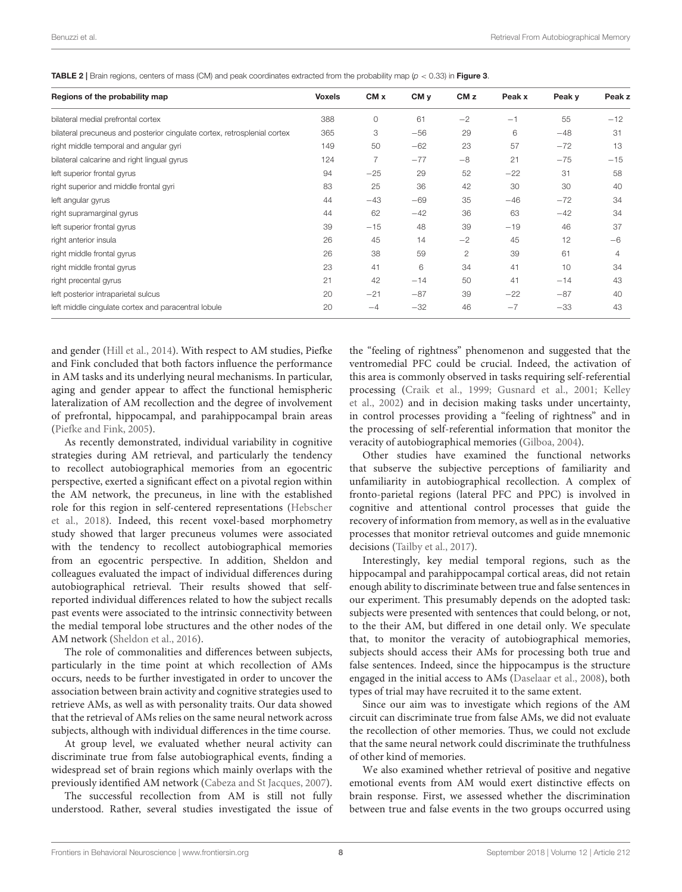<span id="page-7-0"></span>TABLE 2 | Brain regions, centers of mass (CM) and peak coordinates extracted from the probability map  $(p < 0.33)$  in [Figure 3](#page-5-1).

| Regions of the probability map                                           | <b>Voxels</b> | CM x  | CM <sub>y</sub> | CM <sub>z</sub> | Peak x | Peak y | Peak z |
|--------------------------------------------------------------------------|---------------|-------|-----------------|-----------------|--------|--------|--------|
| bilateral medial prefrontal cortex                                       | 388           | 0     | 61              | $-2$            | $-1$   | 55     | $-12$  |
| bilateral precuneus and posterior cingulate cortex, retrosplenial cortex | 365           | З     | $-56$           | 29              | 6      | $-48$  | 31     |
| right middle temporal and angular gyri                                   | 149           | 50    | $-62$           | 23              | 57     | $-72$  | 13     |
| bilateral calcarine and right lingual gyrus                              | 124           |       | $-77$           | $-8$            | 21     | $-75$  | $-15$  |
| left superior frontal gyrus                                              | 94            | $-25$ | 29              | 52              | $-22$  | 31     | 58     |
| right superior and middle frontal gyri                                   | 83            | 25    | 36              | 42              | 30     | 30     | 40     |
| left angular gyrus                                                       | 44            | $-43$ | $-69$           | 35              | $-46$  | $-72$  | 34     |
| right supramarginal gyrus                                                | 44            | 62    | $-42$           | 36              | 63     | $-42$  | 34     |
| left superior frontal gyrus                                              | 39            | $-15$ | 48              | 39              | $-19$  | 46     | 37     |
| right anterior insula                                                    | 26            | 45    | 14              | $-2$            | 45     | 12     | $-6$   |
| right middle frontal gyrus                                               | 26            | 38    | 59              | $\overline{2}$  | 39     | 61     | 4      |
| right middle frontal gyrus                                               | 23            | 41    | 6               | 34              | 41     | 10     | 34     |
| right precental gyrus                                                    | 21            | 42    | $-14$           | 50              | 41     | $-14$  | 43     |
| left posterior intraparietal sulcus                                      | 20            | $-21$ | $-87$           | 39              | $-22$  | $-87$  | 40     |
| left middle cinqulate cortex and paracentral lobule                      | 20            | $-4$  | $-32$           | 46              | $-7$   | $-33$  | 43     |

and gender [\(Hill et al., 2014\)](#page-9-33). With respect to AM studies, Piefke and Fink concluded that both factors influence the performance in AM tasks and its underlying neural mechanisms. In particular, aging and gender appear to affect the functional hemispheric lateralization of AM recollection and the degree of involvement of prefrontal, hippocampal, and parahippocampal brain areas [\(Piefke and Fink, 2005\)](#page-10-18).

As recently demonstrated, individual variability in cognitive strategies during AM retrieval, and particularly the tendency to recollect autobiographical memories from an egocentric perspective, exerted a significant effect on a pivotal region within the AM network, the precuneus, in line with the established role for this region in self-centered representations (Hebscher et al., [2018\)](#page-9-34). Indeed, this recent voxel-based morphometry study showed that larger precuneus volumes were associated with the tendency to recollect autobiographical memories from an egocentric perspective. In addition, Sheldon and colleagues evaluated the impact of individual differences during autobiographical retrieval. Their results showed that selfreported individual differences related to how the subject recalls past events were associated to the intrinsic connectivity between the medial temporal lobe structures and the other nodes of the AM network [\(Sheldon et al., 2016\)](#page-10-19).

The role of commonalities and differences between subjects, particularly in the time point at which recollection of AMs occurs, needs to be further investigated in order to uncover the association between brain activity and cognitive strategies used to retrieve AMs, as well as with personality traits. Our data showed that the retrieval of AMs relies on the same neural network across subjects, although with individual differences in the time course.

At group level, we evaluated whether neural activity can discriminate true from false autobiographical events, finding a widespread set of brain regions which mainly overlaps with the previously identified AM network [\(Cabeza and St Jacques, 2007\)](#page-8-3).

The successful recollection from AM is still not fully understood. Rather, several studies investigated the issue of the "feeling of rightness" phenomenon and suggested that the ventromedial PFC could be crucial. Indeed, the activation of this area is commonly observed in tasks requiring self-referential processing [\(Craik et al., 1999;](#page-9-35) [Gusnard et al., 2001;](#page-9-36) Kelley et al., [2002\)](#page-9-37) and in decision making tasks under uncertainty, in control processes providing a "feeling of rightness" and in the processing of self-referential information that monitor the veracity of autobiographical memories [\(Gilboa, 2004\)](#page-9-6).

Other studies have examined the functional networks that subserve the subjective perceptions of familiarity and unfamiliarity in autobiographical recollection. A complex of fronto-parietal regions (lateral PFC and PPC) is involved in cognitive and attentional control processes that guide the recovery of information from memory, as well as in the evaluative processes that monitor retrieval outcomes and guide mnemonic decisions [\(Tailby et al., 2017\)](#page-10-20).

Interestingly, key medial temporal regions, such as the hippocampal and parahippocampal cortical areas, did not retain enough ability to discriminate between true and false sentences in our experiment. This presumably depends on the adopted task: subjects were presented with sentences that could belong, or not, to the their AM, but differed in one detail only. We speculate that, to monitor the veracity of autobiographical memories, subjects should access their AMs for processing both true and false sentences. Indeed, since the hippocampus is the structure engaged in the initial access to AMs [\(Daselaar et al., 2008\)](#page-9-38), both types of trial may have recruited it to the same extent.

Since our aim was to investigate which regions of the AM circuit can discriminate true from false AMs, we did not evaluate the recollection of other memories. Thus, we could not exclude that the same neural network could discriminate the truthfulness of other kind of memories.

We also examined whether retrieval of positive and negative emotional events from AM would exert distinctive effects on brain response. First, we assessed whether the discrimination between true and false events in the two groups occurred using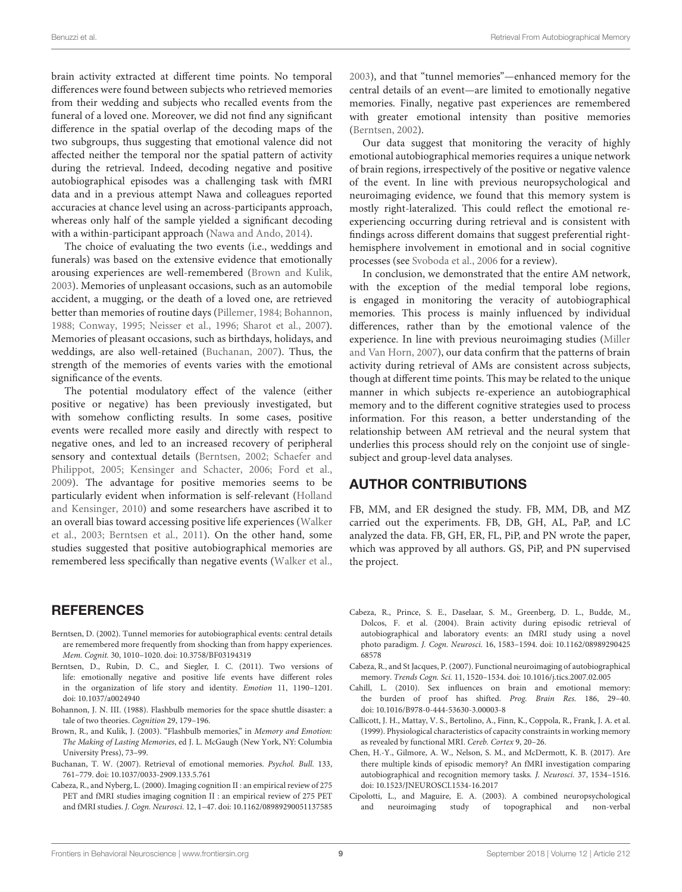brain activity extracted at different time points. No temporal differences were found between subjects who retrieved memories from their wedding and subjects who recalled events from the funeral of a loved one. Moreover, we did not find any significant difference in the spatial overlap of the decoding maps of the two subgroups, thus suggesting that emotional valence did not affected neither the temporal nor the spatial pattern of activity during the retrieval. Indeed, decoding negative and positive autobiographical episodes was a challenging task with fMRI data and in a previous attempt Nawa and colleagues reported accuracies at chance level using an across-participants approach, whereas only half of the sample yielded a significant decoding with a within-participant approach [\(Nawa and Ando, 2014\)](#page-9-39).

The choice of evaluating the two events (i.e., weddings and funerals) was based on the extensive evidence that emotionally arousing experiences are well-remembered [\(Brown and Kulik,](#page-8-7) [2003\)](#page-8-7). Memories of unpleasant occasions, such as an automobile accident, a mugging, or the death of a loved one, are retrieved better than memories of routine days [\(Pillemer, 1984;](#page-10-21) [Bohannon,](#page-8-8) [1988;](#page-8-8) [Conway, 1995;](#page-9-40) [Neisser et al., 1996;](#page-10-22) [Sharot et al., 2007\)](#page-10-23). Memories of pleasant occasions, such as birthdays, holidays, and weddings, are also well-retained [\(Buchanan, 2007\)](#page-8-9). Thus, the strength of the memories of events varies with the emotional significance of the events.

The potential modulatory effect of the valence (either positive or negative) has been previously investigated, but with somehow conflicting results. In some cases, positive events were recalled more easily and directly with respect to negative ones, and led to an increased recovery of peripheral sensory and contextual details [\(Berntsen, 2002;](#page-8-10) Schaefer and Philippot, [2005;](#page-10-24) [Kensinger and Schacter, 2006;](#page-9-41) [Ford et al.,](#page-9-42) [2009\)](#page-9-42). The advantage for positive memories seems to be particularly evident when information is self-relevant (Holland and Kensinger, [2010\)](#page-9-7) and some researchers have ascribed it to an overall bias toward accessing positive life experiences (Walker et al., [2003;](#page-10-25) [Berntsen et al., 2011\)](#page-8-11). On the other hand, some studies suggested that positive autobiographical memories are remembered less specifically than negative events [\(Walker et al.,](#page-10-25)

# **REFERENCES**

- <span id="page-8-10"></span>Berntsen, D. (2002). Tunnel memories for autobiographical events: central details are remembered more frequently from shocking than from happy experiences. Mem. Cognit. 30, 1010–1020. doi: [10.3758/BF03194319](https://doi.org/10.3758/BF03194319)
- <span id="page-8-11"></span>Berntsen, D., Rubin, D. C., and Siegler, I. C. (2011). Two versions of life: emotionally negative and positive life events have different roles in the organization of life story and identity. Emotion 11, 1190–1201. doi: [10.1037/a0024940](https://doi.org/10.1037/a0024940)
- <span id="page-8-8"></span>Bohannon, J. N. III. (1988). Flashbulb memories for the space shuttle disaster: a tale of two theories. Cognition 29, 179–196.
- <span id="page-8-7"></span>Brown, R., and Kulik, J. (2003). "Flashbulb memories," in Memory and Emotion: The Making of Lasting Memories, ed J. L. McGaugh (New York, NY: Columbia University Press), 73–99.
- <span id="page-8-9"></span>Buchanan, T. W. (2007). Retrieval of emotional memories. Psychol. Bull. 133, 761–779. doi: [10.1037/0033-2909.133.5.761](https://doi.org/10.1037/0033-2909.133.5.761)
- <span id="page-8-1"></span>Cabeza, R., and Nyberg, L. (2000). Imaging cognition II : an empirical review of 275 PET and fMRI studies imaging cognition II : an empirical review of 275 PET and fMRI studies. J. Cogn. Neurosci. 12, 1–47. doi: [10.1162/08989290051137585](https://doi.org/10.1162/08989290051137585)

[2003\)](#page-10-25), and that "tunnel memories"—enhanced memory for the central details of an event—are limited to emotionally negative memories. Finally, negative past experiences are remembered with greater emotional intensity than positive memories [\(Berntsen, 2002\)](#page-8-10).

Our data suggest that monitoring the veracity of highly emotional autobiographical memories requires a unique network of brain regions, irrespectively of the positive or negative valence of the event. In line with previous neuropsychological and neuroimaging evidence, we found that this memory system is mostly right-lateralized. This could reflect the emotional reexperiencing occurring during retrieval and is consistent with findings across different domains that suggest preferential righthemisphere involvement in emotional and in social cognitive processes (see [Svoboda et al., 2006](#page-10-7) for a review).

In conclusion, we demonstrated that the entire AM network, with the exception of the medial temporal lobe regions, is engaged in monitoring the veracity of autobiographical memories. This process is mainly influenced by individual differences, rather than by the emotional valence of the experience. In line with previous neuroimaging studies (Miller and Van Horn, [2007\)](#page-9-8), our data confirm that the patterns of brain activity during retrieval of AMs are consistent across subjects, though at different time points. This may be related to the unique manner in which subjects re-experience an autobiographical memory and to the different cognitive strategies used to process information. For this reason, a better understanding of the relationship between AM retrieval and the neural system that underlies this process should rely on the conjoint use of singlesubject and group-level data analyses.

# AUTHOR CONTRIBUTIONS

FB, MM, and ER designed the study. FB, MM, DB, and MZ carried out the experiments. FB, DB, GH, AL, PaP, and LC analyzed the data. FB, GH, ER, FL, PiP, and PN wrote the paper, which was approved by all authors. GS, PiP, and PN supervised the project.

- <span id="page-8-2"></span>Cabeza, R., Prince, S. E., Daselaar, S. M., Greenberg, D. L., Budde, M., Dolcos, F. et al. (2004). Brain activity during episodic retrieval of autobiographical and laboratory events: an fMRI study using a novel photo paradigm. J. Cogn. Neurosci. [16, 1583–1594. doi: 10.1162/08989290425](https://doi.org/10.1162/0898929042568578) 68578
- <span id="page-8-3"></span>Cabeza, R., and St Jacques, P. (2007). Functional neuroimaging of autobiographical memory. Trends Cogn. Sci. 11, 1520–1534. doi: [10.1016/j.tics.2007.02.005](https://doi.org/10.1016/j.tics.2007.02.005)
- <span id="page-8-5"></span>Cahill, L. (2010). Sex influences on brain and emotional memory: the burden of proof has shifted. Prog. Brain Res. 186, 29–40. doi: [10.1016/B978-0-444-53630-3.00003-8](https://doi.org/10.1016/B978-0-444-53630-3.00003-8)
- <span id="page-8-6"></span>Callicott, J. H., Mattay, V. S., Bertolino, A., Finn, K., Coppola, R., Frank, J. A. et al. (1999). Physiological characteristics of capacity constraints in working memory as revealed by functional MRI. Cereb. Cortex 9, 20–26.
- <span id="page-8-4"></span>Chen, H.-Y., Gilmore, A. W., Nelson, S. M., and McDermott, K. B. (2017). Are there multiple kinds of episodic memory? An fMRI investigation comparing autobiographical and recognition memory tasks. J. Neurosci. 37, 1534–1516. doi: [10.1523/JNEUROSCI.1534-16.2017](https://doi.org/10.1523/JNEUROSCI.1534-16.2017)
- <span id="page-8-0"></span>Cipolotti, L., and Maguire, E. A. (2003). A combined neuropsychological and neuroimaging study of topographical and non-verbal